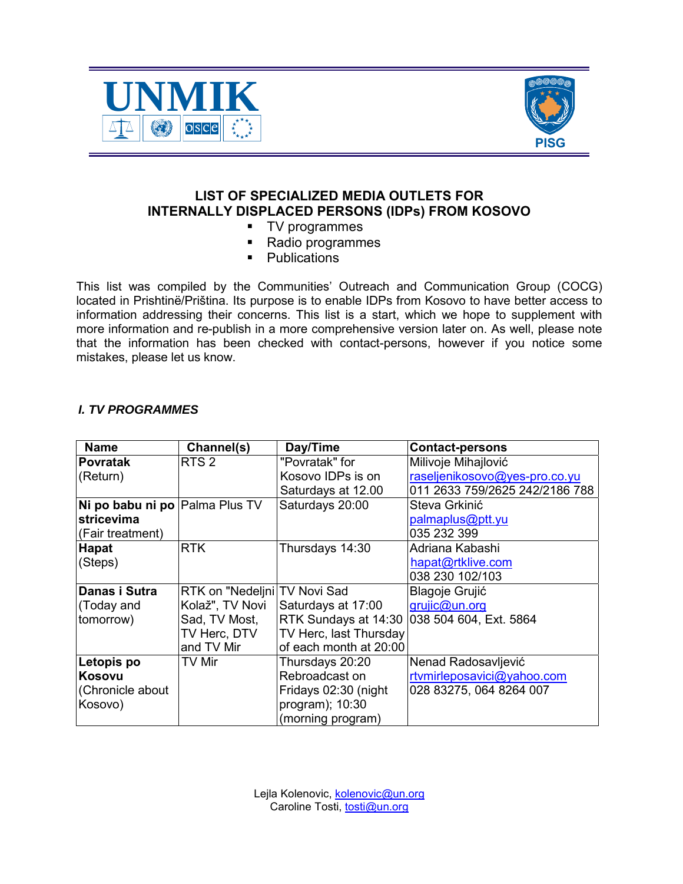



## **LIST OF SPECIALIZED MEDIA OUTLETS FOR INTERNALLY DISPLACED PERSONS (IDPs) FROM KOSOVO**

- **TV** programmes
- Radio programmes
- **•** Publications

This list was compiled by the Communities' Outreach and Communication Group (COCG) located in Prishtinë/Priština. Its purpose is to enable IDPs from Kosovo to have better access to information addressing their concerns. This list is a start, which we hope to supplement with more information and re-publish in a more comprehensive version later on. As well, please note that the information has been checked with contact-persons, however if you notice some mistakes, please let us know.

## *I. TV PROGRAMMES*

| <b>Name</b>                    | Channel(s)                     | Day/Time               | <b>Contact-persons</b>                      |
|--------------------------------|--------------------------------|------------------------|---------------------------------------------|
| <b>Povratak</b>                | RTS <sub>2</sub>               | "Povratak" for         | Milivoje Mihajlović                         |
| (Return)                       |                                | Kosovo IDPs is on      | raseljenikosovo@yes-pro.co.yu               |
|                                |                                | Saturdays at 12.00     | 011 2633 759/2625 242/2186 788              |
| Ni po babu ni po Palma Plus TV |                                | Saturdays 20:00        | Steva Grkinić                               |
| stricevima                     |                                |                        | palmaplus@ptt.yu                            |
| (Fair treatment)               |                                |                        | 035 232 399                                 |
| <b>Hapat</b>                   | <b>RTK</b>                     | Thursdays 14:30        | Adriana Kabashi                             |
| (Steps)                        |                                |                        | hapat@rtklive.com                           |
|                                |                                |                        | 038 230 102/103                             |
| Danas i Sutra                  | RTK on "Nedeljni   TV Novi Sad |                        | <b>Blagoje Grujić</b>                       |
| (Today and                     | Kolaž", TV Novi                | Saturdays at 17:00     | grujic@un.org                               |
| tomorrow)                      | Sad, TV Most,                  |                        | RTK Sundays at 14:30 038 504 604, Ext. 5864 |
|                                | TV Herc, DTV                   | TV Herc, last Thursday |                                             |
|                                | and TV Mir                     | of each month at 20:00 |                                             |
| Letopis po                     | <b>TV Mir</b>                  | Thursdays 20:20        | Nenad Radosavljević                         |
| Kosovu                         |                                | Rebroadcast on         | rtvmirleposavici@yahoo.com                  |
| Chronicle about                |                                | Fridays 02:30 (night   | 028 83275, 064 8264 007                     |
| Kosovo)                        |                                | program); 10:30        |                                             |
|                                |                                | (morning program)      |                                             |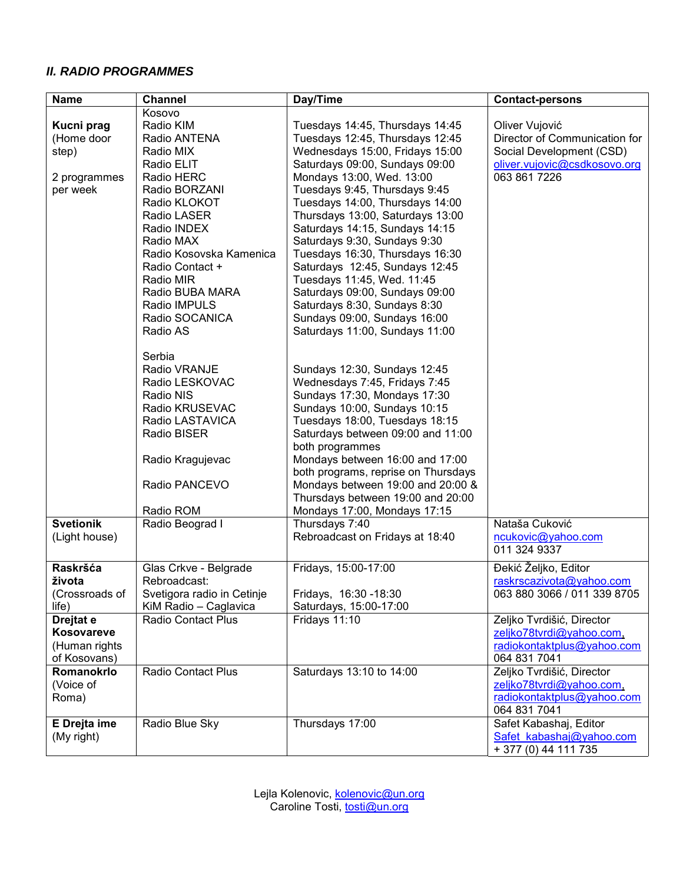## *II. RADIO PROGRAMMES*

| <b>Name</b>                                                                    | <b>Channel</b>                                                                                                                                                                                                                                                             | Day/Time                                                                                                                                                                                                                                                                                                                                                                                                                                                                                                                                                                              | <b>Contact-persons</b>                                                                                                                   |
|--------------------------------------------------------------------------------|----------------------------------------------------------------------------------------------------------------------------------------------------------------------------------------------------------------------------------------------------------------------------|---------------------------------------------------------------------------------------------------------------------------------------------------------------------------------------------------------------------------------------------------------------------------------------------------------------------------------------------------------------------------------------------------------------------------------------------------------------------------------------------------------------------------------------------------------------------------------------|------------------------------------------------------------------------------------------------------------------------------------------|
|                                                                                | Kosovo                                                                                                                                                                                                                                                                     |                                                                                                                                                                                                                                                                                                                                                                                                                                                                                                                                                                                       |                                                                                                                                          |
| Kucni prag<br>(Home door<br>step)<br>2 programmes<br>per week                  | Radio KIM<br>Radio ANTENA<br>Radio MIX<br>Radio ELIT<br>Radio HERC<br>Radio BORZANI<br>Radio KLOKOT<br>Radio LASER<br>Radio INDEX<br>Radio MAX<br>Radio Kosovska Kamenica<br>Radio Contact +<br>Radio MIR<br>Radio BUBA MARA<br>Radio IMPULS<br>Radio SOCANICA<br>Radio AS | Tuesdays 14:45, Thursdays 14:45<br>Tuesdays 12:45, Thursdays 12:45<br>Wednesdays 15:00, Fridays 15:00<br>Saturdays 09:00, Sundays 09:00<br>Mondays 13:00, Wed. 13:00<br>Tuesdays 9:45, Thursdays 9:45<br>Tuesdays 14:00, Thursdays 14:00<br>Thursdays 13:00, Saturdays 13:00<br>Saturdays 14:15, Sundays 14:15<br>Saturdays 9:30, Sundays 9:30<br>Tuesdays 16:30, Thursdays 16:30<br>Saturdays 12:45, Sundays 12:45<br>Tuesdays 11:45, Wed. 11:45<br>Saturdays 09:00, Sundays 09:00<br>Saturdays 8:30, Sundays 8:30<br>Sundays 09:00, Sundays 16:00<br>Saturdays 11:00, Sundays 11:00 | Oliver Vujović<br>Director of Communication for<br>Social Development (CSD)<br>oliver.vujovic@csdkosovo.org<br>063 861 7226              |
|                                                                                | Serbia<br>Radio VRANJE<br>Radio LESKOVAC<br>Radio NIS<br>Radio KRUSEVAC<br>Radio LASTAVICA<br>Radio BISER<br>Radio Kragujevac<br>Radio PANCEVO<br>Radio ROM                                                                                                                | Sundays 12:30, Sundays 12:45<br>Wednesdays 7:45, Fridays 7:45<br>Sundays 17:30, Mondays 17:30<br>Sundays 10:00, Sundays 10:15<br>Tuesdays 18:00, Tuesdays 18:15<br>Saturdays between 09:00 and 11:00<br>both programmes<br>Mondays between 16:00 and 17:00<br>both programs, reprise on Thursdays<br>Mondays between 19:00 and 20:00 &<br>Thursdays between 19:00 and 20:00<br>Mondays 17:00, Mondays 17:15                                                                                                                                                                           |                                                                                                                                          |
| <b>Svetionik</b><br>(Light house)                                              | Radio Beograd I                                                                                                                                                                                                                                                            | Thursdays 7:40<br>Rebroadcast on Fridays at 18:40                                                                                                                                                                                                                                                                                                                                                                                                                                                                                                                                     | Nataša Cuković<br>ncukovic@yahoo.com<br>011 324 9337                                                                                     |
| Raskršća<br>života<br>(Crossroads of<br>$l$ ife $)$<br>Drejtat e<br>Kosovareve | Glas Crkve - Belgrade<br>Rebroadcast:<br>Svetigora radio in Cetinje<br>KiM Radio - Caglavica<br><b>Radio Contact Plus</b>                                                                                                                                                  | Fridays, 15:00-17:00<br>Fridays, 16:30 - 18:30<br>Saturdays, 15:00-17:00<br>Fridays 11:10                                                                                                                                                                                                                                                                                                                                                                                                                                                                                             | Đekić Željko, Editor<br>raskrscazivota@yahoo.com<br>063 880 3066 / 011 339 8705<br>Zeljko Tvrdišić, Director<br>zeljko78tvrdi@yahoo.com, |
| (Human rights<br>of Kosovans)<br>Romanokrlo<br>(Voice of                       | <b>Radio Contact Plus</b>                                                                                                                                                                                                                                                  | Saturdays 13:10 to 14:00                                                                                                                                                                                                                                                                                                                                                                                                                                                                                                                                                              | radiokontaktplus@yahoo.com<br>064 831 7041<br>Zeljko Tvrdišić, Director<br>zeljko78tvrdi@yahoo.com,                                      |
| Roma)<br>E Drejta ime                                                          | Radio Blue Sky                                                                                                                                                                                                                                                             | Thursdays 17:00                                                                                                                                                                                                                                                                                                                                                                                                                                                                                                                                                                       | radiokontaktplus@yahoo.com<br>064 831 7041<br>Safet Kabashaj, Editor                                                                     |
| (My right)                                                                     |                                                                                                                                                                                                                                                                            |                                                                                                                                                                                                                                                                                                                                                                                                                                                                                                                                                                                       | Safet kabashaj@yahoo.com<br>+ 377 (0) 44 111 735                                                                                         |